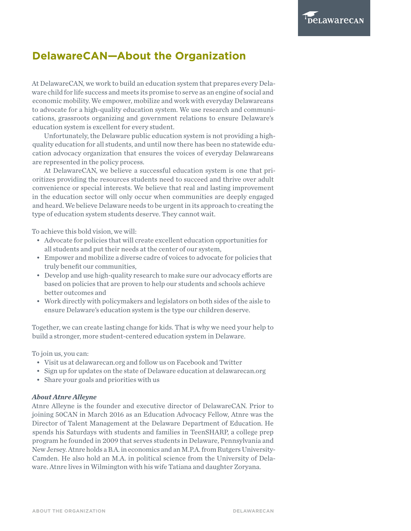## **DelawareCAN—About the Organization**

At DelawareCAN, we work to build an education system that prepares every Delaware child for life success and meets its promise to serve as an engine of social and economic mobility. We empower, mobilize and work with everyday Delawareans to advocate for a high-quality education system. We use research and communications, grassroots organizing and government relations to ensure Delaware's education system is excellent for every student.

Unfortunately, the Delaware public education system is not providing a highquality education for all students, and until now there has been no statewide education advocacy organization that ensures the voices of everyday Delawareans are represented in the policy process.

At DelawareCAN, we believe a successful education system is one that prioritizes providing the resources students need to succeed and thrive over adult convenience or special interests. We believe that real and lasting improvement in the education sector will only occur when communities are deeply engaged and heard. We believe Delaware needs to be urgent in its approach to creating the type of education system students deserve. They cannot wait.

To achieve this bold vision, we will:

- Advocate for policies that will create excellent education opportunities for all students and put their needs at the center of our system,
- Empower and mobilize a diverse cadre of voices to advocate for policies that truly benefit our communities,
- Develop and use high-quality research to make sure our advocacy efforts are based on policies that are proven to help our students and schools achieve better outcomes and
- Work directly with policymakers and legislators on both sides of the aisle to ensure Delaware's education system is the type our children deserve.

Together, we can create lasting change for kids. That is why we need your help to build a stronger, more student-centered education system in Delaware.

To join us, you can:

- Visit us at [delawarecan.org](http://delawarecan.org) and follow us on Facebook and [Twitter](https://twitter.com/delawarecan)
- Sign up for updates on the state of Delaware education at [delawarecan.org](http://delawarecan.org)
- Share your goals and priorities with us

## *About Atnre Alleyne*

Atnre Alleyne is the founder and executive director of DelawareCAN. Prior to joining 50CAN in March 2016 as an Education Advocacy Fellow, Atnre was the Director of Talent Management at the Delaware Department of Education. He spends his Saturdays with students and families in TeenSHARP, a college prep program he founded in 2009 that serves students in Delaware, Pennsylvania and New Jersey. Atnre holds a B.A. in economics and an M.P.A. from Rutgers University-Camden. He also hold an M.A. in political science from the University of Delaware. Atnre lives in Wilmington with his wife Tatiana and daughter Zoryana.